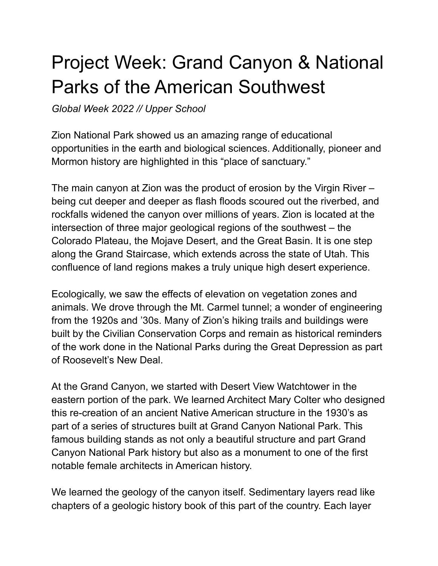## Project Week: Grand Canyon & National Parks of the American Southwest

*Global Week 2022 // Upper School*

Zion National Park showed us an amazing range of educational opportunities in the earth and biological sciences. Additionally, pioneer and Mormon history are highlighted in this "place of sanctuary."

The main canyon at Zion was the product of erosion by the Virgin River – being cut deeper and deeper as flash floods scoured out the riverbed, and rockfalls widened the canyon over millions of years. Zion is located at the intersection of three major geological regions of the southwest – the Colorado Plateau, the Mojave Desert, and the Great Basin. It is one step along the Grand Staircase, which extends across the state of Utah. This confluence of land regions makes a truly unique high desert experience.

Ecologically, we saw the effects of elevation on vegetation zones and animals. We drove through the Mt. Carmel tunnel; a wonder of engineering from the 1920s and '30s. Many of Zion's hiking trails and buildings were built by the Civilian Conservation Corps and remain as historical reminders of the work done in the National Parks during the Great Depression as part of Roosevelt's New Deal.

At the Grand Canyon, we started with Desert View Watchtower in the eastern portion of the park. We learned Architect Mary Colter who designed this re-creation of an ancient Native American structure in the 1930's as part of a series of structures built at Grand Canyon National Park. This famous building stands as not only a beautiful structure and part Grand Canyon National Park history but also as a monument to one of the first notable female architects in American history.

We learned the geology of the canyon itself. Sedimentary layers read like chapters of a geologic history book of this part of the country. Each layer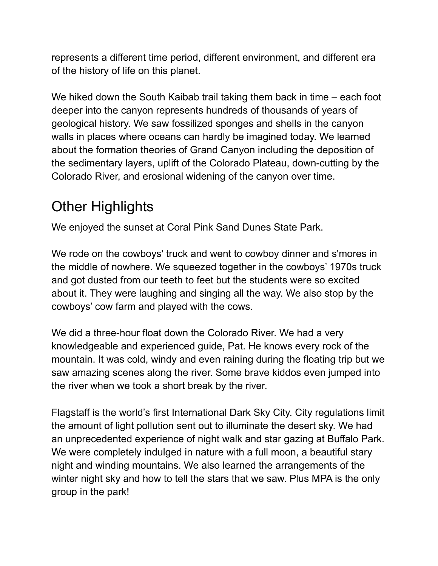represents a different time period, different environment, and different era of the history of life on this planet.

We hiked down the South Kaibab trail taking them back in time – each foot deeper into the canyon represents hundreds of thousands of years of geological history. We saw fossilized sponges and shells in the canyon walls in places where oceans can hardly be imagined today. We learned about the formation theories of Grand Canyon including the deposition of the sedimentary layers, uplift of the Colorado Plateau, down-cutting by the Colorado River, and erosional widening of the canyon over time.

## Other Highlights

We enjoyed the sunset at Coral Pink Sand Dunes State Park.

We rode on the cowboys' truck and went to cowboy dinner and s'mores in the middle of nowhere. We squeezed together in the cowboys' 1970s truck and got dusted from our teeth to feet but the students were so excited about it. They were laughing and singing all the way. We also stop by the cowboys' cow farm and played with the cows.

We did a three-hour float down the Colorado River. We had a very knowledgeable and experienced guide, Pat. He knows every rock of the mountain. It was cold, windy and even raining during the floating trip but we saw amazing scenes along the river. Some brave kiddos even jumped into the river when we took a short break by the river.

Flagstaff is the world's first International Dark Sky City. City regulations limit the amount of light pollution sent out to illuminate the desert sky. We had an unprecedented experience of night walk and star gazing at Buffalo Park. We were completely indulged in nature with a full moon, a beautiful stary night and winding mountains. We also learned the arrangements of the winter night sky and how to tell the stars that we saw. Plus MPA is the only group in the park!